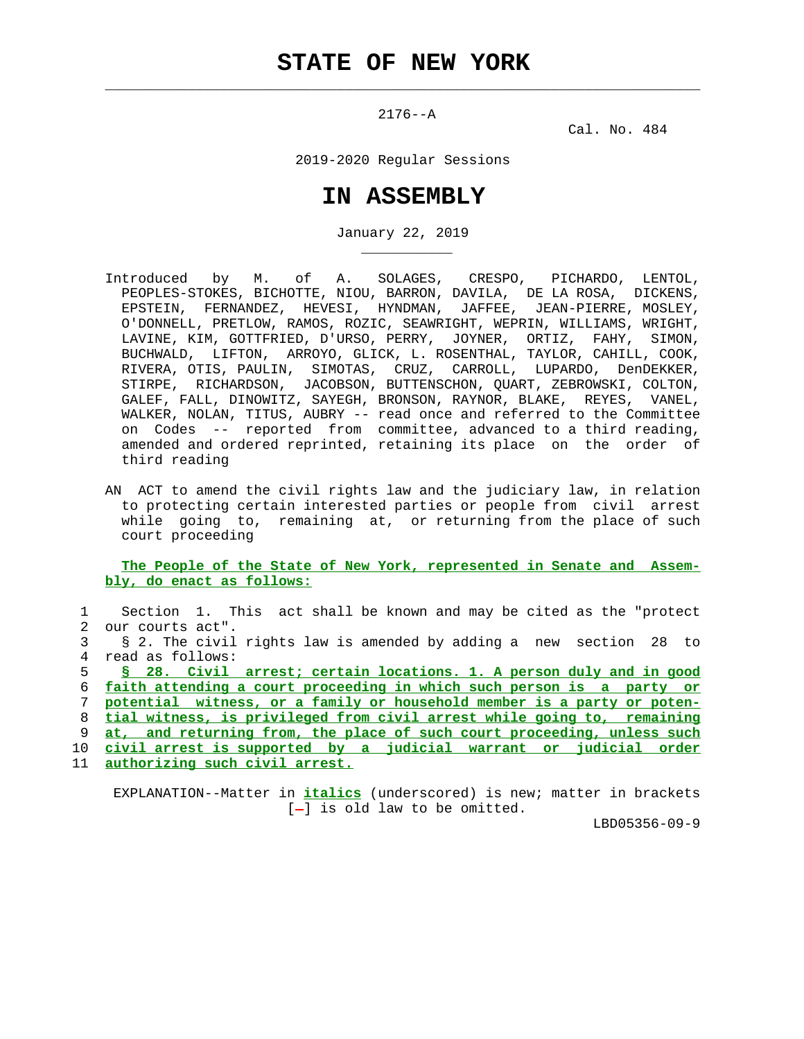$\mathcal{L}_\text{max} = \frac{1}{2} \sum_{i=1}^{n} \frac{1}{2} \sum_{i=1}^{n} \frac{1}{2} \sum_{i=1}^{n} \frac{1}{2} \sum_{i=1}^{n} \frac{1}{2} \sum_{i=1}^{n} \frac{1}{2} \sum_{i=1}^{n} \frac{1}{2} \sum_{i=1}^{n} \frac{1}{2} \sum_{i=1}^{n} \frac{1}{2} \sum_{i=1}^{n} \frac{1}{2} \sum_{i=1}^{n} \frac{1}{2} \sum_{i=1}^{n} \frac{1}{2} \sum_{i=1}^{n} \frac{1$ 

\_\_\_\_\_\_\_\_\_\_\_

2176--A

Cal. No. 484

2019-2020 Regular Sessions

## **IN ASSEMBLY**

January 22, 2019

- Introduced by M. of A. SOLAGES, CRESPO, PICHARDO, LENTOL, PEOPLES-STOKES, BICHOTTE, NIOU, BARRON, DAVILA, DE LA ROSA, DICKENS, EPSTEIN, FERNANDEZ, HEVESI, HYNDMAN, JAFFEE, JEAN-PIERRE, MOSLEY, O'DONNELL, PRETLOW, RAMOS, ROZIC, SEAWRIGHT, WEPRIN, WILLIAMS, WRIGHT, LAVINE, KIM, GOTTFRIED, D'URSO, PERRY, JOYNER, ORTIZ, FAHY, SIMON, BUCHWALD, LIFTON, ARROYO, GLICK, L. ROSENTHAL, TAYLOR, CAHILL, COOK, RIVERA, OTIS, PAULIN, SIMOTAS, CRUZ, CARROLL, LUPARDO, DenDEKKER, STIRPE, RICHARDSON, JACOBSON, BUTTENSCHON, QUART, ZEBROWSKI, COLTON, GALEF, FALL, DINOWITZ, SAYEGH, BRONSON, RAYNOR, BLAKE, REYES, VANEL, WALKER, NOLAN, TITUS, AUBRY -- read once and referred to the Committee on Codes -- reported from committee, advanced to a third reading, amended and ordered reprinted, retaining its place on the order of third reading
	- AN ACT to amend the civil rights law and the judiciary law, in relation to protecting certain interested parties or people from civil arrest while going to, remaining at, or returning from the place of such court proceeding

 **The People of the State of New York, represented in Senate and Assem bly, do enact as follows:**

 1 Section 1. This act shall be known and may be cited as the "protect 2 our courts act". 3 § 2. The civil rights law is amended by adding a new section 28 to 4 read as follows: **§ 28. Civil arrest; certain locations. 1. A person duly and in good faith attending a court proceeding in which such person is a party or potential witness, or a family or household member is a party or poten- tial witness, is privileged from civil arrest while going to, remaining at, and returning from, the place of such court proceeding, unless such civil arrest is supported by a judicial warrant or judicial order authorizing such civil arrest.**

 EXPLANATION--Matter in **italics** (underscored) is new; matter in brackets  $[-]$  is old law to be omitted.

LBD05356-09-9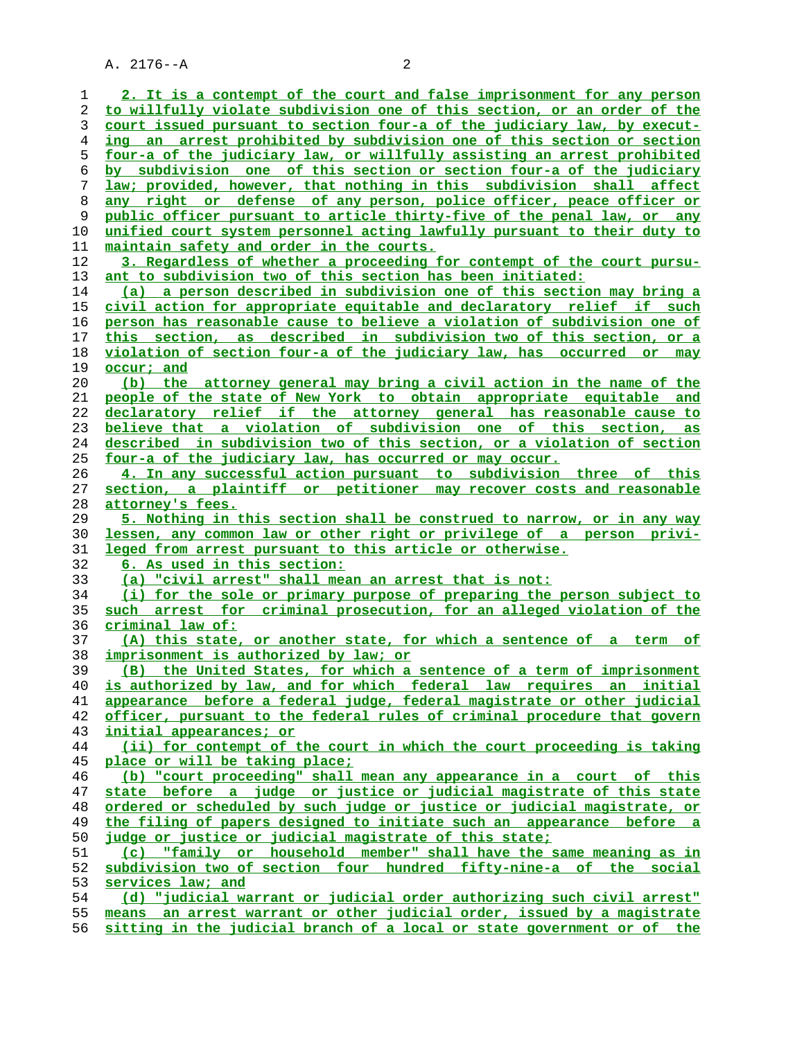A. 2176--A 2

**2. It is a contempt of the court and false imprisonment for any person to willfully violate subdivision one of this section, or an order of the court issued pursuant to section four-a of the judiciary law, by execut- ing an arrest prohibited by subdivision one of this section or section four-a of the judiciary law, or willfully assisting an arrest prohibited by subdivision one of this section or section four-a of the judiciary law; provided, however, that nothing in this subdivision shall affect any right or defense of any person, police officer, peace officer or public officer pursuant to article thirty-five of the penal law, or any unified court system personnel acting lawfully pursuant to their duty to maintain safety and order in the courts. 3. Regardless of whether a proceeding for contempt of the court pursu- ant to subdivision two of this section has been initiated: (a) a person described in subdivision one of this section may bring a civil action for appropriate equitable and declaratory relief if such person has reasonable cause to believe a violation of subdivision one of this section, as described in subdivision two of this section, or a violation of section four-a of the judiciary law, has occurred or may occur; and (b) the attorney general may bring a civil action in the name of the people of the state of New York to obtain appropriate equitable and declaratory relief if the attorney general has reasonable cause to believe that a violation of subdivision one of this section, as described in subdivision two of this section, or a violation of section four-a of the judiciary law, has occurred or may occur. 4. In any successful action pursuant to subdivision three of this section, a plaintiff or petitioner may recover costs and reasonable attorney's fees. 5. Nothing in this section shall be construed to narrow, or in any way lessen, any common law or other right or privilege of a person privi- leged from arrest pursuant to this article or otherwise. 6. As used in this section: (a) "civil arrest" shall mean an arrest that is not: (i) for the sole or primary purpose of preparing the person subject to such arrest for criminal prosecution, for an alleged violation of the criminal law of: (A) this state, or another state, for which a sentence of a term of imprisonment is authorized by law; or (B) the United States, for which a sentence of a term of imprisonment is authorized by law, and for which federal law requires an initial appearance before a federal judge, federal magistrate or other judicial officer, pursuant to the federal rules of criminal procedure that govern initial appearances; or (ii) for contempt of the court in which the court proceeding is taking place or will be taking place; (b) "court proceeding" shall mean any appearance in a court of this state before a judge or justice or judicial magistrate of this state ordered or scheduled by such judge or justice or judicial magistrate, or the filing of papers designed to initiate such an appearance before a judge or justice or judicial magistrate of this state; (c) "family or household member" shall have the same meaning as in subdivision two of section four hundred fifty-nine-a of the social services law; and (d) "judicial warrant or judicial order authorizing such civil arrest" means an arrest warrant or other judicial order, issued by a magistrate sitting in the judicial branch of a local or state government or of the**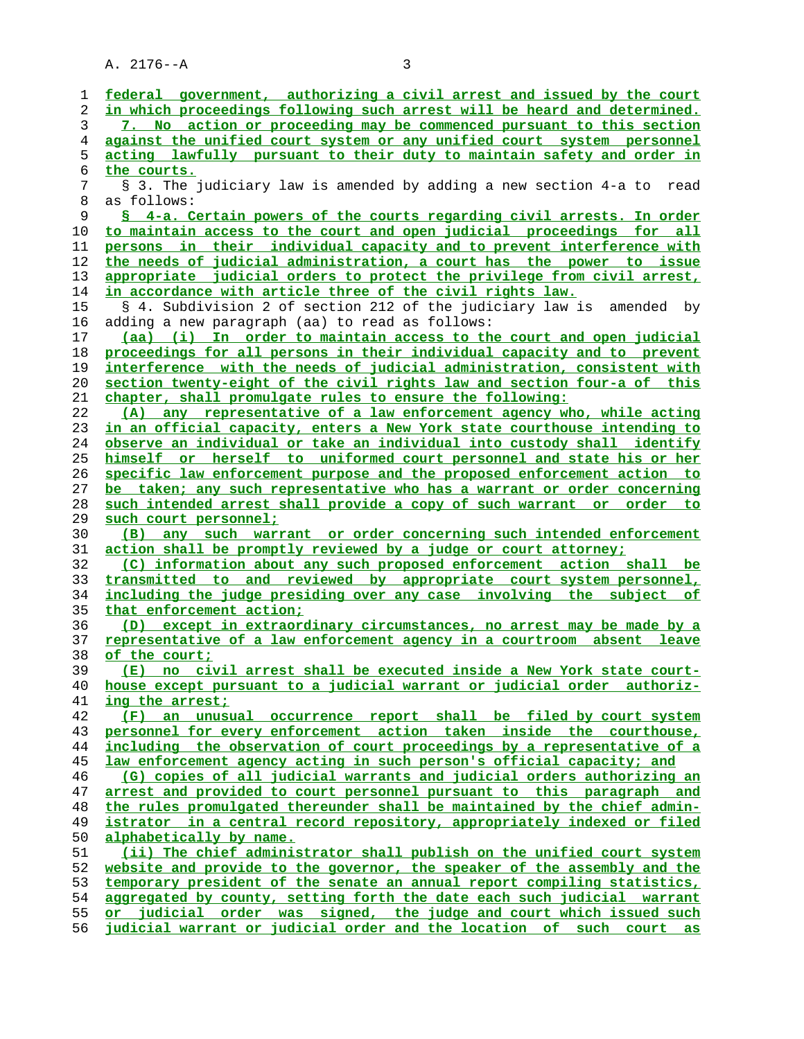A. 2176--A 3

| 1        | federal government, authorizing a civil arrest and issued by the court                                                                 |
|----------|----------------------------------------------------------------------------------------------------------------------------------------|
| 2        | in which proceedings following such arrest will be heard and determined.                                                               |
| 3        | 7. No action or proceeding may be commenced pursuant to this section                                                                   |
| 4        | against the unified court system or any unified court system personnel                                                                 |
| 5        | acting lawfully pursuant to their duty to maintain safety and order in                                                                 |
| 6        | the courts.                                                                                                                            |
| 7        | § 3. The judiciary law is amended by adding a new section 4-a to<br>read                                                               |
| 8        | as follows:                                                                                                                            |
| 9        | § 4-a. Certain powers of the courts regarding civil arrests. In order                                                                  |
| 10       | to maintain access to the court and open judicial proceedings for all                                                                  |
| 11       | persons in their individual capacity and to prevent interference with                                                                  |
| 12       | the needs of judicial administration, a court has the power to issue                                                                   |
| 13       | appropriate judicial orders to protect the privilege from civil arrest,                                                                |
| 14       | in accordance with article three of the civil rights law.                                                                              |
| 15       | § 4. Subdivision 2 of section 212 of the judiciary law is<br>amended by                                                                |
| 16       | adding a new paragraph (aa) to read as follows:                                                                                        |
| 17       | (aa) (i) In order to maintain access to the court and open judicial                                                                    |
| 18       | proceedings for all persons in their individual capacity and to prevent                                                                |
| 19       | interference with the needs of judicial administration, consistent with                                                                |
| 20       | section twenty-eight of the civil rights law and section four-a of this                                                                |
| 21       | chapter, shall promulgate rules to ensure the following:                                                                               |
| 22       | (A) any representative of a law enforcement agency who, while acting                                                                   |
| 23       | in an official capacity, enters a New York state courthouse intending to                                                               |
| 24       | observe an individual or take an individual into custody shall identify                                                                |
| 25       | himself or herself to uniformed court personnel and state his or her                                                                   |
| 26       | specific law enforcement purpose and the proposed enforcement action to                                                                |
| 27       | be taken; any such representative who has a warrant or order concerning                                                                |
| 28       | such intended arrest shall provide a copy of such warrant or order to                                                                  |
| 29       | such court personnel;                                                                                                                  |
| 30       | any such warrant or order concerning such intended enforcement<br>(B)                                                                  |
| 31<br>32 | action shall be promptly reviewed by a judge or court attorney;<br>(C) information about any such proposed enforcement action shall be |
| 33       | transmitted to and reviewed by appropriate court system personnel,                                                                     |
| 34       | including the judge presiding over any case involving the subject of                                                                   |
| 35       | that enforcement action;                                                                                                               |
| 36       | (D) except in extraordinary circumstances, no arrest may be made by a                                                                  |
| 37       | representative of a law enforcement agency in a courtroom absent leave                                                                 |
| 38       | of the court;                                                                                                                          |
| 39       | (E) no civil arrest shall be executed inside a New York state court-                                                                   |
| 40       | house except pursuant to a judicial warrant or judicial order authoriz-                                                                |
| 41       | ing the arrest;                                                                                                                        |
| 42       | (F) an unusual occurrence report shall be filed by court system                                                                        |
| 43       | personnel for every enforcement action taken inside the courthouse,                                                                    |
| 44       | including the observation of court proceedings by a representative of a                                                                |
| 45       | law enforcement agency acting in such person's official capacity; and                                                                  |
| 46       | (G) copies of all judicial warrants and judicial orders authorizing an                                                                 |
| 47       | arrest and provided to court personnel pursuant to this paragraph and                                                                  |
| 48       | the rules promulgated thereunder shall be maintained by the chief admin-                                                               |
| 49       | istrator in a central record repository, appropriately indexed or filed                                                                |
| 50       | alphabetically by name.                                                                                                                |
| 51       | (ii) The chief administrator shall publish on the unified court system                                                                 |
| 52       | website and provide to the governor, the speaker of the assembly and the                                                               |
| 53       | temporary president of the senate an annual report compiling statistics,                                                               |
| 54       | aggregated by county, setting forth the date each such judicial warrant                                                                |
| 55       | or judicial order was signed, the judge and court which issued such                                                                    |
| 56       | judicial warrant or judicial order and the location of such court as                                                                   |